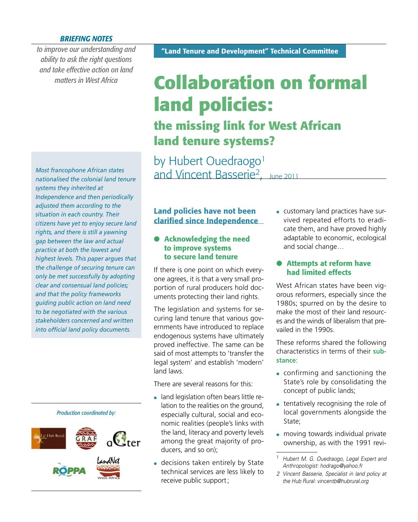#### *BRIEFING NOTES*

*to improve our understanding and ability to ask the right questions and take effective action on land matters in West Africa*

*Most francophone African states nationalised the colonial land tenure systems they inherited at Independence and then periodically adjusted them according to the situation in each country. Their citizens have yet to enjoy secure land rights, and there is still a yawning gap between the law and actual practice at both the lowest and highest levels. This paper argues that the challenge of securing tenure can only be met successfully by adopting clear and consensual land policies; and that the policy frameworks guiding public action on land need to be negotiated with the various stakeholders concerned and written into official land policy documents.* 



# **Collaboration on formal land policies: the missing link for West African land tenure systems?**

by Hubert Ouedraogo<sup>1</sup> and Vincent Basserie2, June 2011

# **Land policies have not been clarified since Independence**

#### **Acknowledging the need to improve systems to secure land tenure**

If there is one point on which everyone agrees, it is that a very small proportion of rural producers hold documents protecting their land rights.

The legislation and systems for securing land tenure that various governments have introduced to replace endogenous systems have ultimately proved ineffective. The same can be said of most attempts to 'transfer the legal system' and establish 'modern' land laws.

There are several reasons for this:

- land legislation often bears little relation to the realities on the ground, especially cultural, social and economic realities (people's links with the land, literacy and poverty levels among the great majority of producers, and so on);
- decisions taken entirely by State technical services are less likely to receive public support ;

 customary land practices have survived repeated efforts to eradicate them, and have proved highly adaptable to economic, ecological and social change…

## **Attempts at reform have had limited effects**

West African states have been vigorous reformers, especially since the 1980s; spurred on by the desire to make the most of their land resources and the winds of liberalism that prevailed in the 1990s.

These reforms shared the following characteristics in terms of their **substance**:

- confirming and sanctioning the State's role by consolidating the concept of public lands;
- tentatively recognising the role of local governments alongside the State;
- moving towards individual private ownership, as with the 1991 revi-

<sup>1</sup> *Hubert M. G. Ouedraogo, Legal Expert and Anthropologist: hodrago@yahoo.fr*

*<sup>2</sup> Vincent Basserie, Specialist in land policy at the Hub Rural: vincentb@hubrural.org*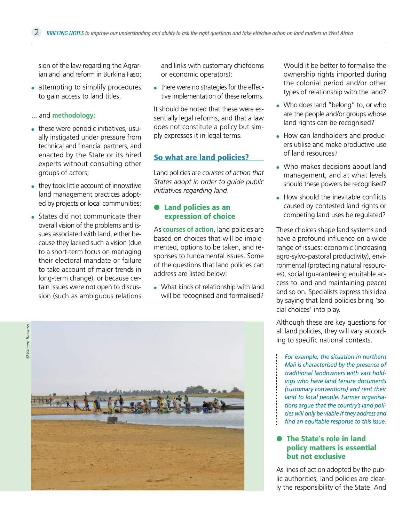sion of the law regarding the Agrarian and land reform in Burkina Faso;

- attempting to simplify procedures to gain access to land titles.
- ... and **methodology:**
- these were periodic initiatives, usually instigated under pressure from technical and financial partners, and enacted by the State or its hired experts without consulting other groups of actors;
- they took little account of innovative land management practices adopted by projects or local communities;
- States did not communicate their overall vision of the problems and issues associated with land, either because they lacked such a vision (due to a short-term focus on managing their electoral mandate or failure to take account of major trends in long-term change), or because certain issues were not open to discussion (such as ambiguous relations

and links with customary chiefdoms or economic operators);

• there were no strategies for the effective implementation of these reforms.

It should be noted that these were essentially legal reforms, and that a law does not constitute a policy but simply expresses it in legal terms.

#### **So what are land policies?**

Land policies are *courses of action that States adopt in order to guide public initiatives regarding land*.

#### **Land policies as an expression of choice**

As **courses of action**, land policies are based on choices that will be implemented, options to be taken, and responses to fundamental issues. Some of the questions that land policies can address are listed below:

• What kinds of relationship with land will be recognised and formalised?

Would it be better to formalise the ownership rights imported during the colonial period and/or other types of relationship with the land?

- Who does land "belong" to, or who are the people and/or groups whose land rights can be recognised?
- How can landholders and producers utilise and make productive use of land resources?
- Who makes decisions about land management, and at what levels should these powers be recognised?
- $\bullet$  How should the inevitable conflicts caused by contested land rights or competing land uses be regulated?

These choices shape land systems and have a profound influence on a wide range of issues: economic (increasing agro-sylvo-pastoral productivity), environmental (protecting natural resources), social (guaranteeing equitable access to land and maintaining peace) and so on. Specialists express this idea by saying that land policies bring 'social choices' into play.

Although these are key questions for all land policies, they will vary according to specific national contexts.

*For example, the situation in northern Mali is characterised by the presence of traditional landowners with vast holdings who have land tenure documents (customary conventions) and rent their land to local people. Farmer organisations argue that the country's land policies will only be viable if they address and fi nd an equitable response to this issue.*

## **The State's role in land policy matters is essential but not exclusive**

As lines of action adopted by the public authorities, land policies are clearly the responsibility of the State. And

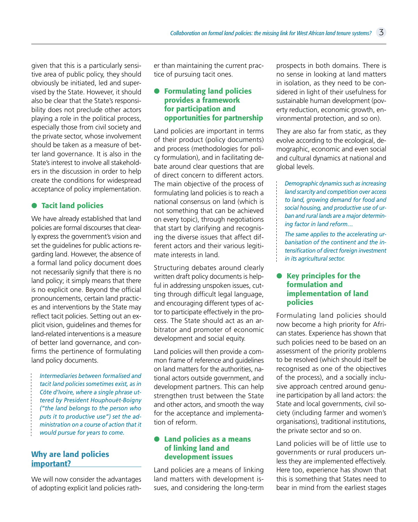given that this is a particularly sensitive area of public policy, they should obviously be initiated, led and supervised by the State. However, it should also be clear that the State's responsibility does not preclude other actors playing a role in the political process, especially those from civil society and the private sector, whose involvement should be taken as a measure of better land governance. It is also in the State's interest to involve all stakeholders in the discussion in order to help create the conditions for widespread acceptance of policy implementation.

# **Tacit land policies**

We have already established that land policies are formal discourses that clearly express the government's vision and set the guidelines for public actions regarding land. However, the absence of a formal land policy document does not necessarily signify that there is no land policy; it simply means that there is no explicit one. Beyond the official pronouncements, certain land practices and interventions by the State may reflect tacit policies. Setting out an explicit vision, guidelines and themes for land-related interventions is a measure of better land governance, and confirms the pertinence of formulating land policy documents.

*Intermediaries between formalised and tacit land policies sometimes exist, as in Côte d'Ivoire, where a single phrase uttered by President Houphouët-Boigny ("the land belongs to the person who puts it to productive use") set the administration on a course of action that it would pursue for years to come.*

# **Why are land policies important?**

We will now consider the advantages of adopting explicit land policies rather than maintaining the current practice of pursuing tacit ones.

## **Formulating land policies provides a framework for participation and opportunities for partnership**

Land policies are important in terms of their product (policy documents) and process (methodologies for policy formulation), and in facilitating debate around clear questions that are of direct concern to different actors. The main objective of the process of formulating land policies is to reach a national consensus on land (which is not something that can be achieved on every topic), through negotiations that start by clarifying and recognising the diverse issues that affect different actors and their various legitimate interests in land.

Structuring debates around clearly written draft policy documents is helpful in addressing unspoken issues, cutting through difficult legal language, and encouraging different types of actor to participate effectively in the process. The State should act as an arbitrator and promoter of economic development and social equity.

Land policies will then provide a common frame of reference and guidelines on land matters for the authorities, national actors outside government, and development partners. This can help strengthen trust between the State and other actors, and smooth the way for the acceptance and implementation of reform.

### **Land policies as a means of linking land and development issues**

Land policies are a means of linking land matters with development issues, and considering the long-term prospects in both domains. There is no sense in looking at land matters in isolation, as they need to be considered in light of their usefulness for sustainable human development (poverty reduction, economic growth, environmental protection, and so on).

They are also far from static, as they evolve according to the ecological, demographic, economic and even social and cultural dynamics at national and global levels.

*Demographic dynamics such as increasing land scarcity and competition over access to land, growing demand for food and social housing, and productive use of urban and rural lands are a major determining factor in land reform…*

*The same applies to the accelerating urbanisation of the continent and the intensifi cation of direct foreign investment in its agricultural sector.*

## **Key principles for the formulation and implementation of land policies**

Formulating land policies should now become a high priority for African states. Experience has shown that such policies need to be based on an assessment of the priority problems to be resolved (which should itself be recognised as one of the objectives of the process), and a socially inclusive approach centred around genuine participation by all land actors: the State and local governments, civil society (including farmer and women's organisations), traditional institutions, the private sector and so on.

Land policies will be of little use to governments or rural producers unless they are implemented effectively. Here too, experience has shown that this is something that States need to bear in mind from the earliest stages